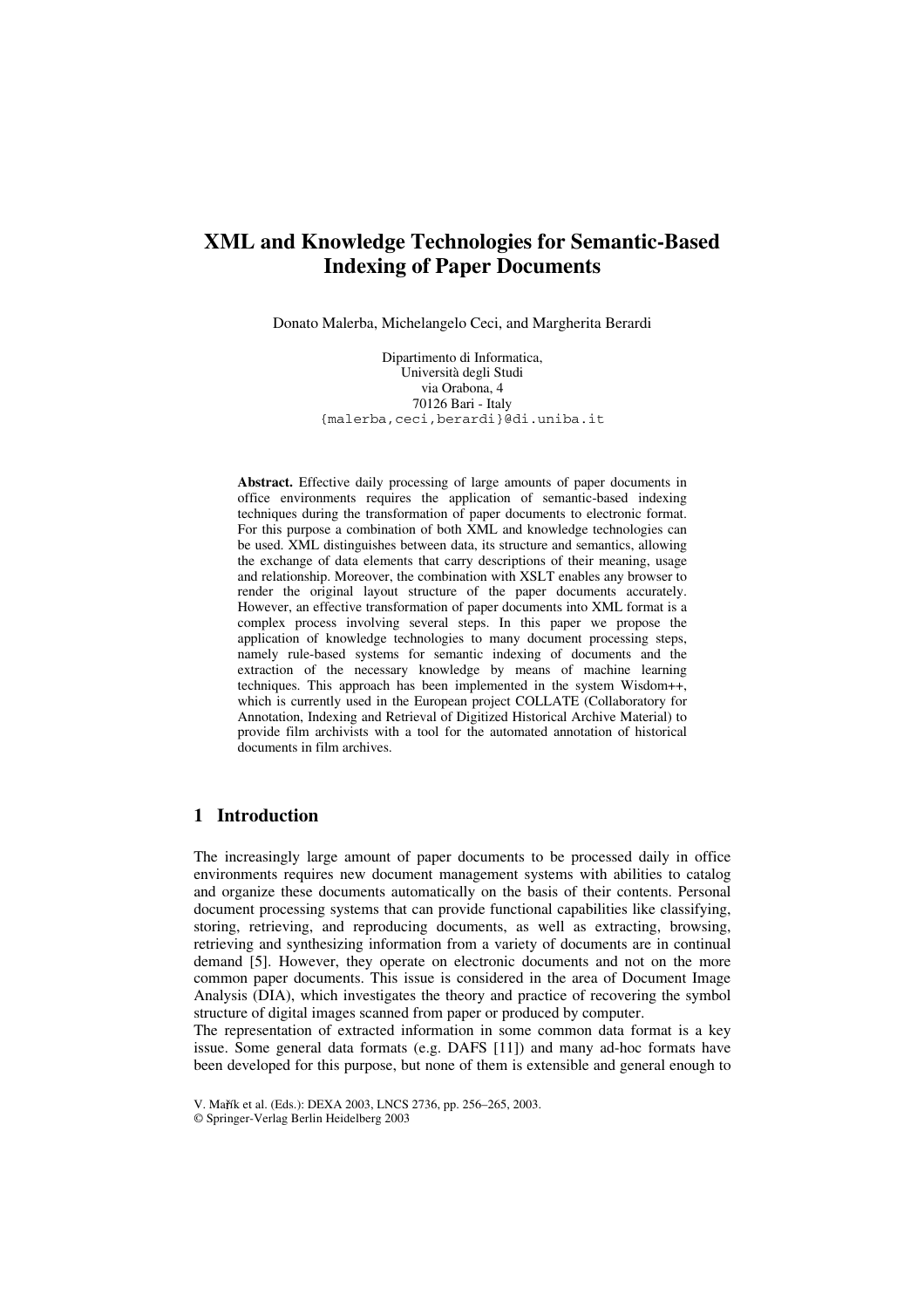# **XML and Knowledge Technologies for Semantic-Based Indexing of Paper Documents**

Donato Malerba, Michelangelo Ceci, and Margherita Berardi

Dipartimento di Informatica, Università degli Studi via Orabona, 4 70126 Bari - Italy {malerba,ceci,berardi}@di.uniba.it

**Abstract.** Effective daily processing of large amounts of paper documents in office environments requires the application of semantic-based indexing techniques during the transformation of paper documents to electronic format. For this purpose a combination of both XML and knowledge technologies can be used. XML distinguishes between data, its structure and semantics, allowing the exchange of data elements that carry descriptions of their meaning, usage and relationship. Moreover, the combination with XSLT enables any browser to render the original layout structure of the paper documents accurately. However, an effective transformation of paper documents into XML format is a complex process involving several steps. In this paper we propose the application of knowledge technologies to many document processing steps, namely rule-based systems for semantic indexing of documents and the extraction of the necessary knowledge by means of machine learning techniques. This approach has been implemented in the system Wisdom++, which is currently used in the European project COLLATE (Collaboratory for Annotation, Indexing and Retrieval of Digitized Historical Archive Material) to provide film archivists with a tool for the automated annotation of historical documents in film archives.

#### **1 Introduction**

The increasingly large amount of paper documents to be processed daily in office environments requires new document management systems with abilities to catalog and organize these documents automatically on the basis of their contents. Personal document processing systems that can provide functional capabilities like classifying, storing, retrieving, and reproducing documents, as well as extracting, browsing, retrieving and synthesizing information from a variety of documents are in continual demand [5]. However, they operate on electronic documents and not on the more common paper documents. This issue is considered in the area of Document Image Analysis (DIA), which investigates the theory and practice of recovering the symbol structure of digital images scanned from paper or produced by computer.

The representation of extracted information in some common data format is a key issue. Some general data formats (e.g. DAFS [11]) and many ad-hoc formats have been developed for this purpose, but none of them is extensible and general enough to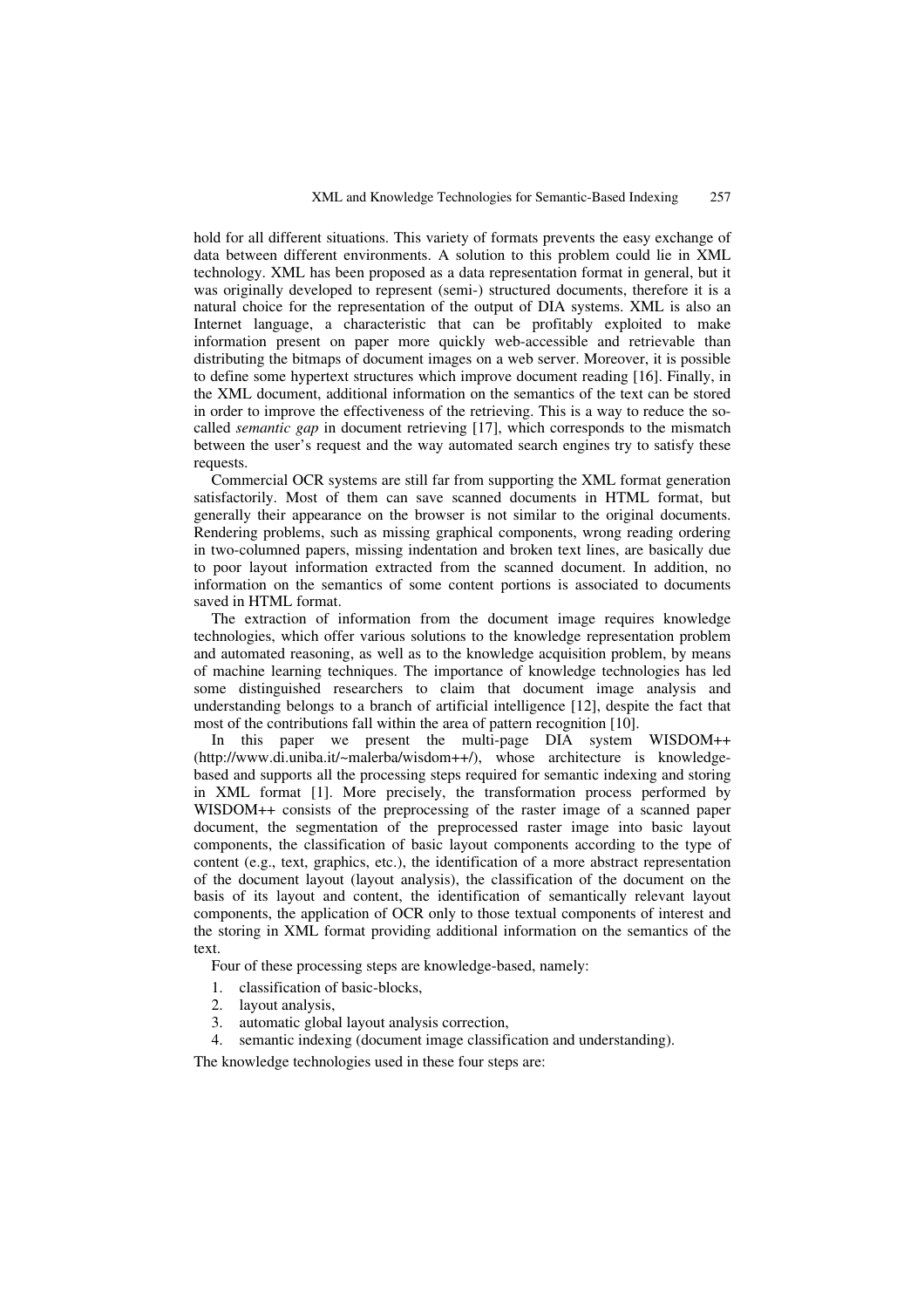hold for all different situations. This variety of formats prevents the easy exchange of data between different environments. A solution to this problem could lie in XML technology. XML has been proposed as a data representation format in general, but it was originally developed to represent (semi-) structured documents, therefore it is a natural choice for the representation of the output of DIA systems. XML is also an Internet language, a characteristic that can be profitably exploited to make information present on paper more quickly web-accessible and retrievable than distributing the bitmaps of document images on a web server. Moreover, it is possible to define some hypertext structures which improve document reading [16]. Finally, in the XML document, additional information on the semantics of the text can be stored in order to improve the effectiveness of the retrieving. This is a way to reduce the socalled *semantic gap* in document retrieving [17], which corresponds to the mismatch between the user's request and the way automated search engines try to satisfy these requests.

Commercial OCR systems are still far from supporting the XML format generation satisfactorily. Most of them can save scanned documents in HTML format, but generally their appearance on the browser is not similar to the original documents. Rendering problems, such as missing graphical components, wrong reading ordering in two-columned papers, missing indentation and broken text lines, are basically due to poor layout information extracted from the scanned document. In addition, no information on the semantics of some content portions is associated to documents saved in HTML format.

The extraction of information from the document image requires knowledge technologies, which offer various solutions to the knowledge representation problem and automated reasoning, as well as to the knowledge acquisition problem, by means of machine learning techniques. The importance of knowledge technologies has led some distinguished researchers to claim that document image analysis and understanding belongs to a branch of artificial intelligence [12], despite the fact that most of the contributions fall within the area of pattern recognition [10].

In this paper we present the multi-page DIA system WISDOM++ (http://www.di.uniba.it/~malerba/wisdom++/), whose architecture is knowledgebased and supports all the processing steps required for semantic indexing and storing in XML format [1]. More precisely, the transformation process performed by WISDOM++ consists of the preprocessing of the raster image of a scanned paper document, the segmentation of the preprocessed raster image into basic layout components, the classification of basic layout components according to the type of content (e.g., text, graphics, etc.), the identification of a more abstract representation of the document layout (layout analysis), the classification of the document on the basis of its layout and content, the identification of semantically relevant layout components, the application of OCR only to those textual components of interest and the storing in XML format providing additional information on the semantics of the text.

Four of these processing steps are knowledge-based, namely:

- 1. classification of basic-blocks,
- 2. layout analysis,
- 3. automatic global layout analysis correction,
- 4. semantic indexing (document image classification and understanding).

The knowledge technologies used in these four steps are: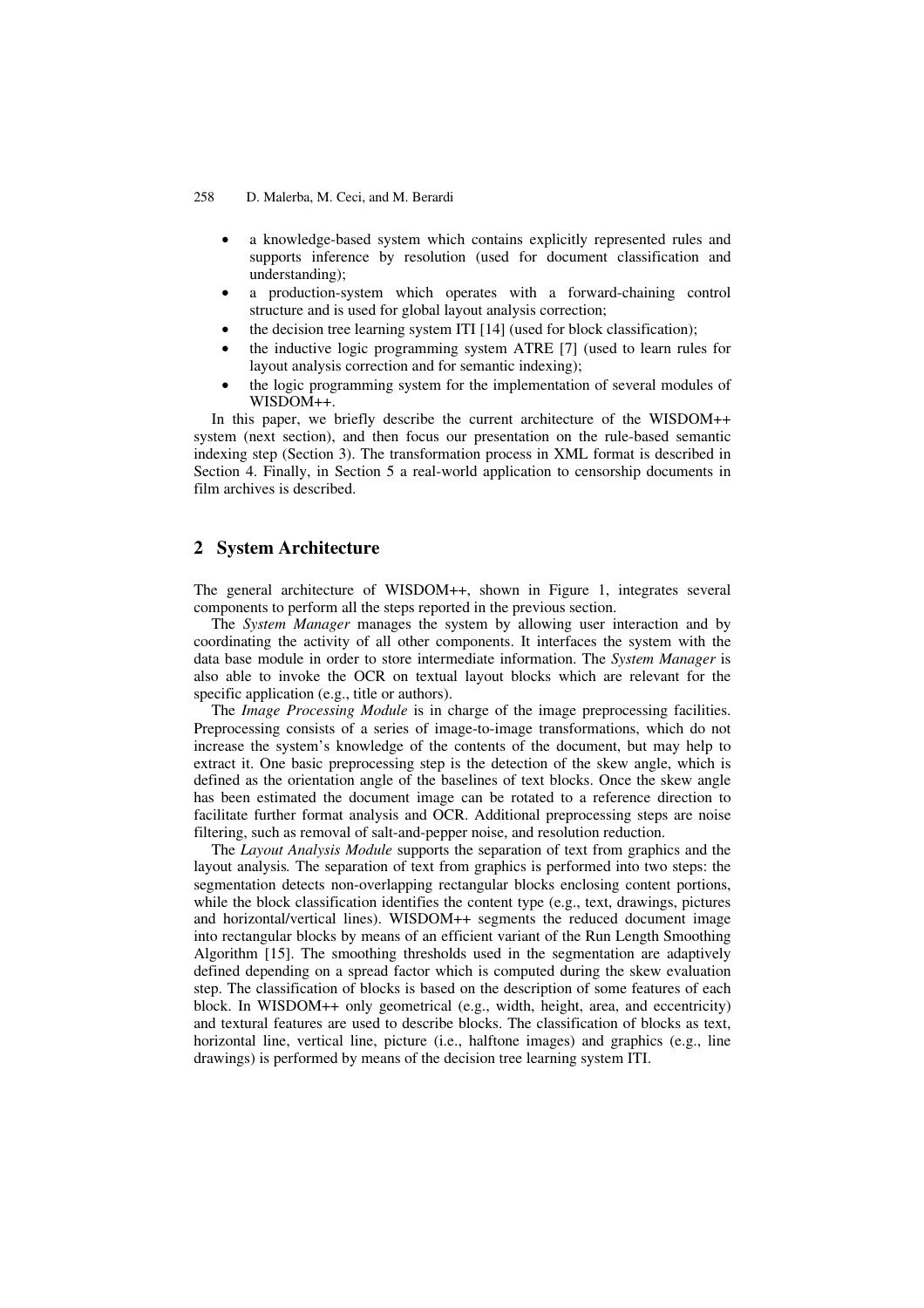- a knowledge-based system which contains explicitly represented rules and supports inference by resolution (used for document classification and understanding);
- a production-system which operates with a forward-chaining control structure and is used for global layout analysis correction;
- the decision tree learning system ITI [14] (used for block classification);
- the inductive logic programming system ATRE [7] (used to learn rules for layout analysis correction and for semantic indexing);
- the logic programming system for the implementation of several modules of WISDOM++.

In this paper, we briefly describe the current architecture of the WISDOM++ system (next section), and then focus our presentation on the rule-based semantic indexing step (Section 3). The transformation process in XML format is described in Section 4. Finally, in Section 5 a real-world application to censorship documents in film archives is described.

#### **2 System Architecture**

The general architecture of WISDOM++, shown in Figure 1, integrates several components to perform all the steps reported in the previous section.

The *System Manager* manages the system by allowing user interaction and by coordinating the activity of all other components. It interfaces the system with the data base module in order to store intermediate information. The *System Manager* is also able to invoke the OCR on textual layout blocks which are relevant for the specific application (e.g., title or authors).

The *Image Processing Module* is in charge of the image preprocessing facilities. Preprocessing consists of a series of image-to-image transformations, which do not increase the system's knowledge of the contents of the document, but may help to extract it. One basic preprocessing step is the detection of the skew angle, which is defined as the orientation angle of the baselines of text blocks. Once the skew angle has been estimated the document image can be rotated to a reference direction to facilitate further format analysis and OCR. Additional preprocessing steps are noise filtering, such as removal of salt-and-pepper noise, and resolution reduction.

The *Layout Analysis Module* supports the separation of text from graphics and the layout analysis*.* The separation of text from graphics is performed into two steps: the segmentation detects non-overlapping rectangular blocks enclosing content portions, while the block classification identifies the content type (e.g., text, drawings, pictures and horizontal/vertical lines). WISDOM++ segments the reduced document image into rectangular blocks by means of an efficient variant of the Run Length Smoothing Algorithm [15]. The smoothing thresholds used in the segmentation are adaptively defined depending on a spread factor which is computed during the skew evaluation step. The classification of blocks is based on the description of some features of each block. In WISDOM++ only geometrical (e.g., width, height, area, and eccentricity) and textural features are used to describe blocks. The classification of blocks as text, horizontal line, vertical line, picture (i.e., halftone images) and graphics (e.g., line drawings) is performed by means of the decision tree learning system ITI.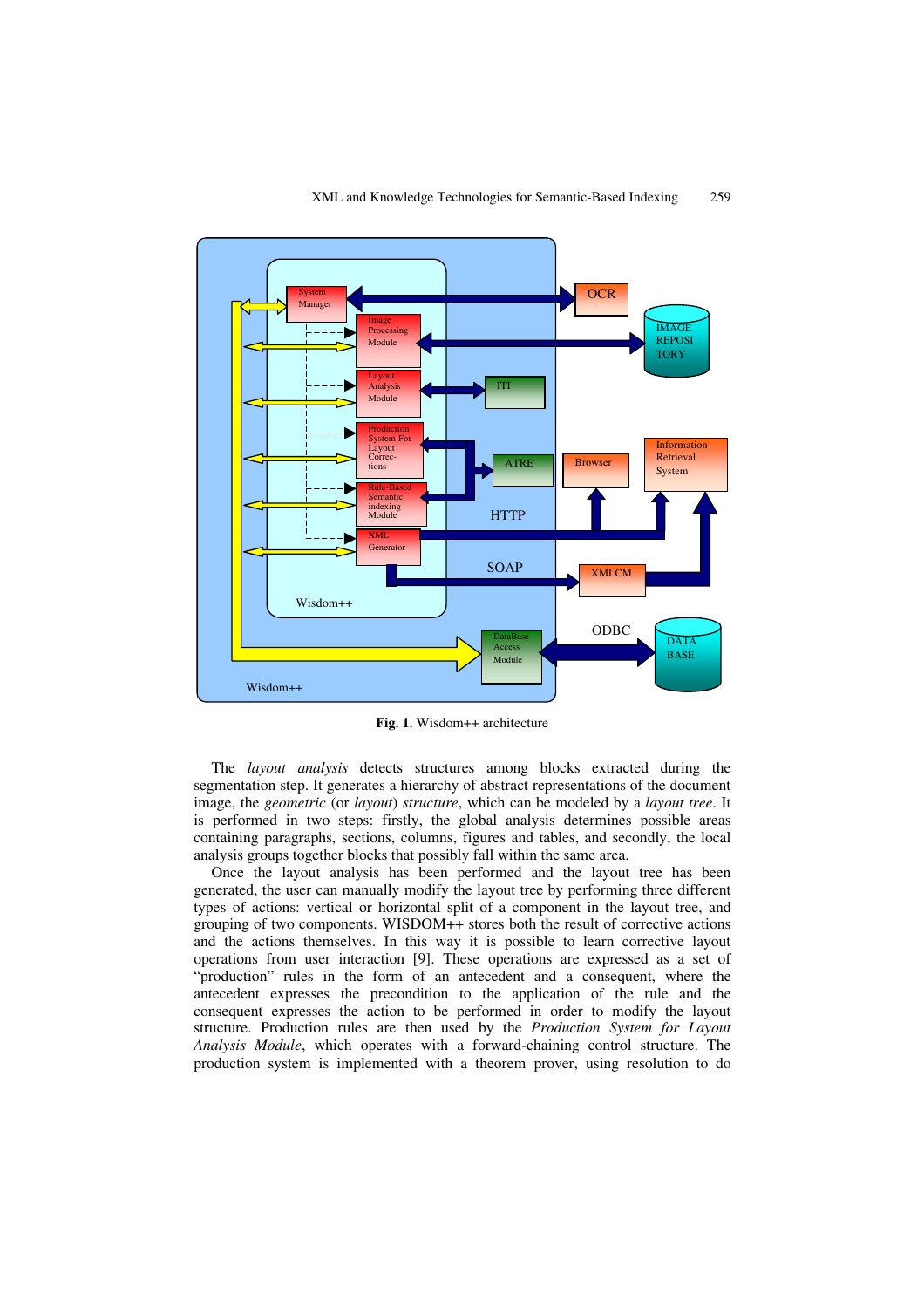

**Fig. 1.** Wisdom++ architecture.

The *layout analysis* detects structures among blocks extracted during the segmentation step. It generates a hierarchy of abstract representations of the document image, the *geometric* (or *layout*) *structure*, which can be modeled by a *layout tree*. It is performed in two steps: firstly, the global analysis determines possible areas containing paragraphs, sections, columns, figures and tables, and secondly, the local analysis groups together blocks that possibly fall within the same area.

Once the layout analysis has been performed and the layout tree has been generated, the user can manually modify the layout tree by performing three different types of actions: vertical or horizontal split of a component in the layout tree, and grouping of two components. WISDOM++ stores both the result of corrective actions and the actions themselves. In this way it is possible to learn corrective layout operations from user interaction [9]. These operations are expressed as a set of "production" rules in the form of an antecedent and a consequent, where the antecedent expresses the precondition to the application of the rule and the consequent expresses the action to be performed in order to modify the layout structure. Production rules are then used by the *Production System for Layout Analysis Module*, which operates with a forward-chaining control structure. The production system is implemented with a theorem prover, using resolution to do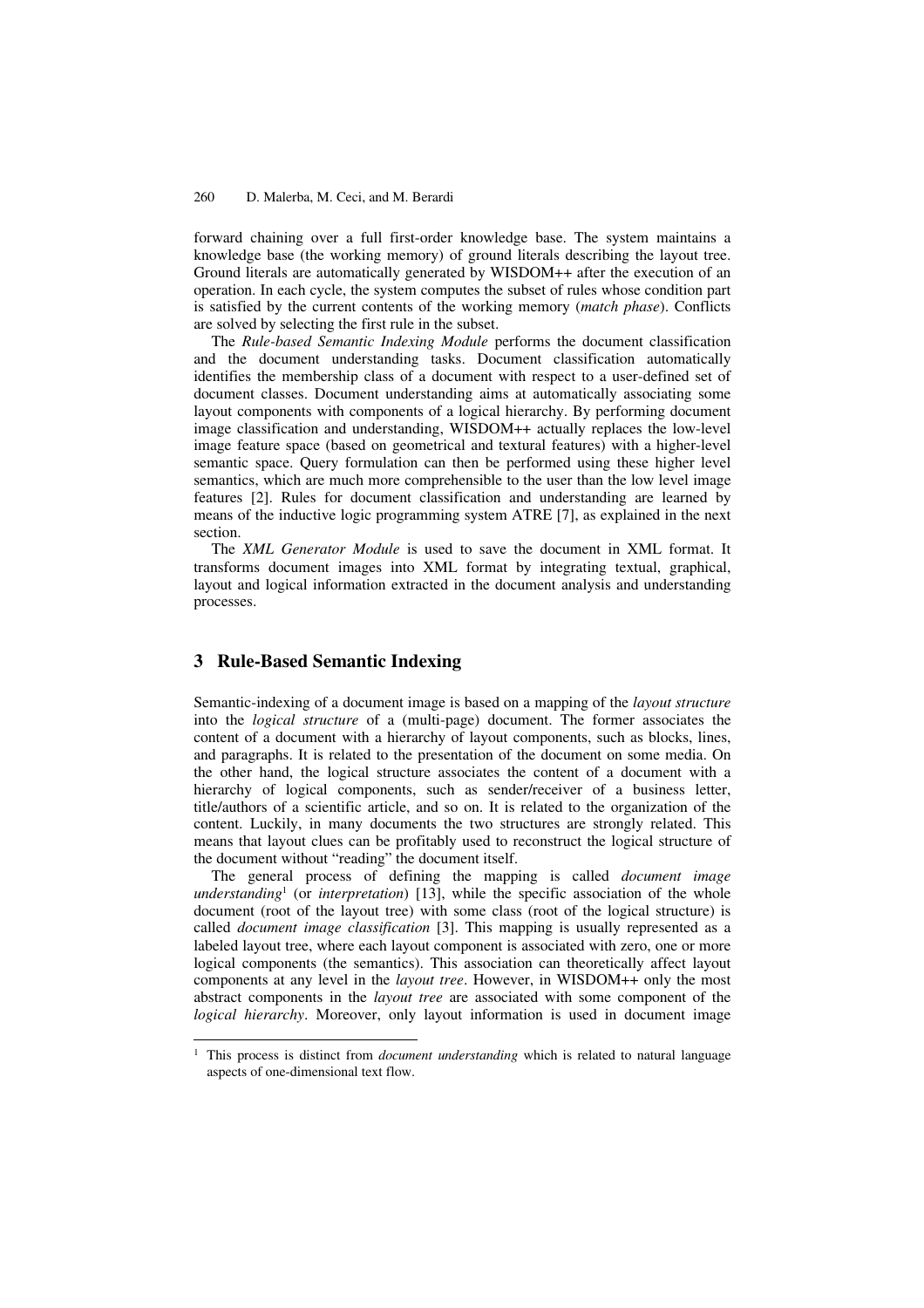forward chaining over a full first-order knowledge base. The system maintains a knowledge base (the working memory) of ground literals describing the layout tree. Ground literals are automatically generated by WISDOM++ after the execution of an operation. In each cycle, the system computes the subset of rules whose condition part is satisfied by the current contents of the working memory (*match phase*). Conflicts are solved by selecting the first rule in the subset.

The *Rule-based Semantic Indexing Module* performs the document classification and the document understanding tasks. Document classification automatically identifies the membership class of a document with respect to a user-defined set of document classes. Document understanding aims at automatically associating some layout components with components of a logical hierarchy. By performing document image classification and understanding, WISDOM++ actually replaces the low-level image feature space (based on geometrical and textural features) with a higher-level semantic space. Query formulation can then be performed using these higher level semantics, which are much more comprehensible to the user than the low level image features [2]. Rules for document classification and understanding are learned by means of the inductive logic programming system ATRE [7], as explained in the next section.

The *XML Generator Module* is used to save the document in XML format. It transforms document images into XML format by integrating textual, graphical, layout and logical information extracted in the document analysis and understanding processes.

## **3 Rule-Based Semantic Indexing**

 $\overline{a}$ 

Semantic-indexing of a document image is based on a mapping of the *layout structure* into the *logical structure* of a (multi-page) document. The former associates the content of a document with a hierarchy of layout components, such as blocks, lines, and paragraphs. It is related to the presentation of the document on some media. On the other hand, the logical structure associates the content of a document with a hierarchy of logical components, such as sender/receiver of a business letter, title/authors of a scientific article, and so on. It is related to the organization of the content. Luckily, in many documents the two structures are strongly related. This means that layout clues can be profitably used to reconstruct the logical structure of the document without "reading" the document itself.

The general process of defining the mapping is called *document image understanding*1 (or *interpretation*) [13], while the specific association of the whole document (root of the layout tree) with some class (root of the logical structure) is called *document image classification* [3]. This mapping is usually represented as a labeled layout tree, where each layout component is associated with zero, one or more logical components (the semantics). This association can theoretically affect layout components at any level in the *layout tree*. However, in WISDOM++ only the most abstract components in the *layout tree* are associated with some component of the *logical hierarchy*. Moreover, only layout information is used in document image

<sup>&</sup>lt;sup>1</sup> This process is distinct from *document understanding* which is related to natural language aspects of one-dimensional text flow.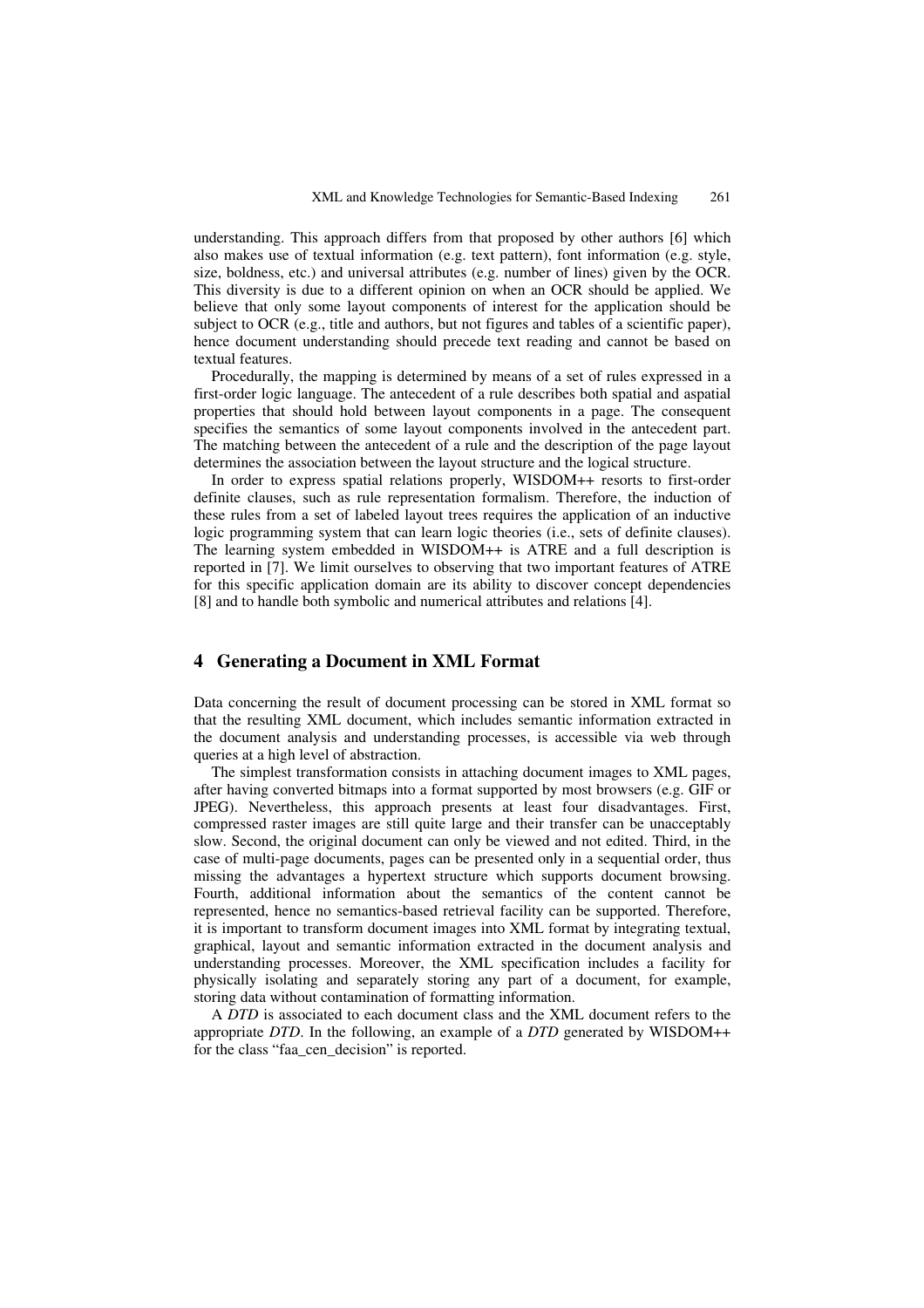understanding. This approach differs from that proposed by other authors [6] which also makes use of textual information (e.g. text pattern), font information (e.g. style, size, boldness, etc.) and universal attributes (e.g. number of lines) given by the OCR. This diversity is due to a different opinion on when an OCR should be applied. We believe that only some layout components of interest for the application should be subject to OCR (e.g., title and authors, but not figures and tables of a scientific paper), hence document understanding should precede text reading and cannot be based on textual features.

Procedurally, the mapping is determined by means of a set of rules expressed in a first-order logic language. The antecedent of a rule describes both spatial and aspatial properties that should hold between layout components in a page. The consequent specifies the semantics of some layout components involved in the antecedent part. The matching between the antecedent of a rule and the description of the page layout determines the association between the layout structure and the logical structure.

In order to express spatial relations properly, WISDOM++ resorts to first-order definite clauses, such as rule representation formalism. Therefore, the induction of these rules from a set of labeled layout trees requires the application of an inductive logic programming system that can learn logic theories (i.e., sets of definite clauses). The learning system embedded in WISDOM++ is ATRE and a full description is reported in [7]. We limit ourselves to observing that two important features of ATRE for this specific application domain are its ability to discover concept dependencies [8] and to handle both symbolic and numerical attributes and relations [4].

#### **4 Generating a Document in XML Format**

Data concerning the result of document processing can be stored in XML format so that the resulting XML document, which includes semantic information extracted in the document analysis and understanding processes, is accessible via web through queries at a high level of abstraction.

The simplest transformation consists in attaching document images to XML pages, after having converted bitmaps into a format supported by most browsers (e.g. GIF or JPEG). Nevertheless, this approach presents at least four disadvantages. First, compressed raster images are still quite large and their transfer can be unacceptably slow. Second, the original document can only be viewed and not edited. Third, in the case of multi-page documents, pages can be presented only in a sequential order, thus missing the advantages a hypertext structure which supports document browsing. Fourth, additional information about the semantics of the content cannot be represented, hence no semantics-based retrieval facility can be supported. Therefore, it is important to transform document images into XML format by integrating textual, graphical, layout and semantic information extracted in the document analysis and understanding processes. Moreover, the XML specification includes a facility for physically isolating and separately storing any part of a document, for example, storing data without contamination of formatting information.

A *DTD* is associated to each document class and the XML document refers to the appropriate *DTD*. In the following, an example of a *DTD* generated by WISDOM++ for the class "faa\_cen\_decision" is reported.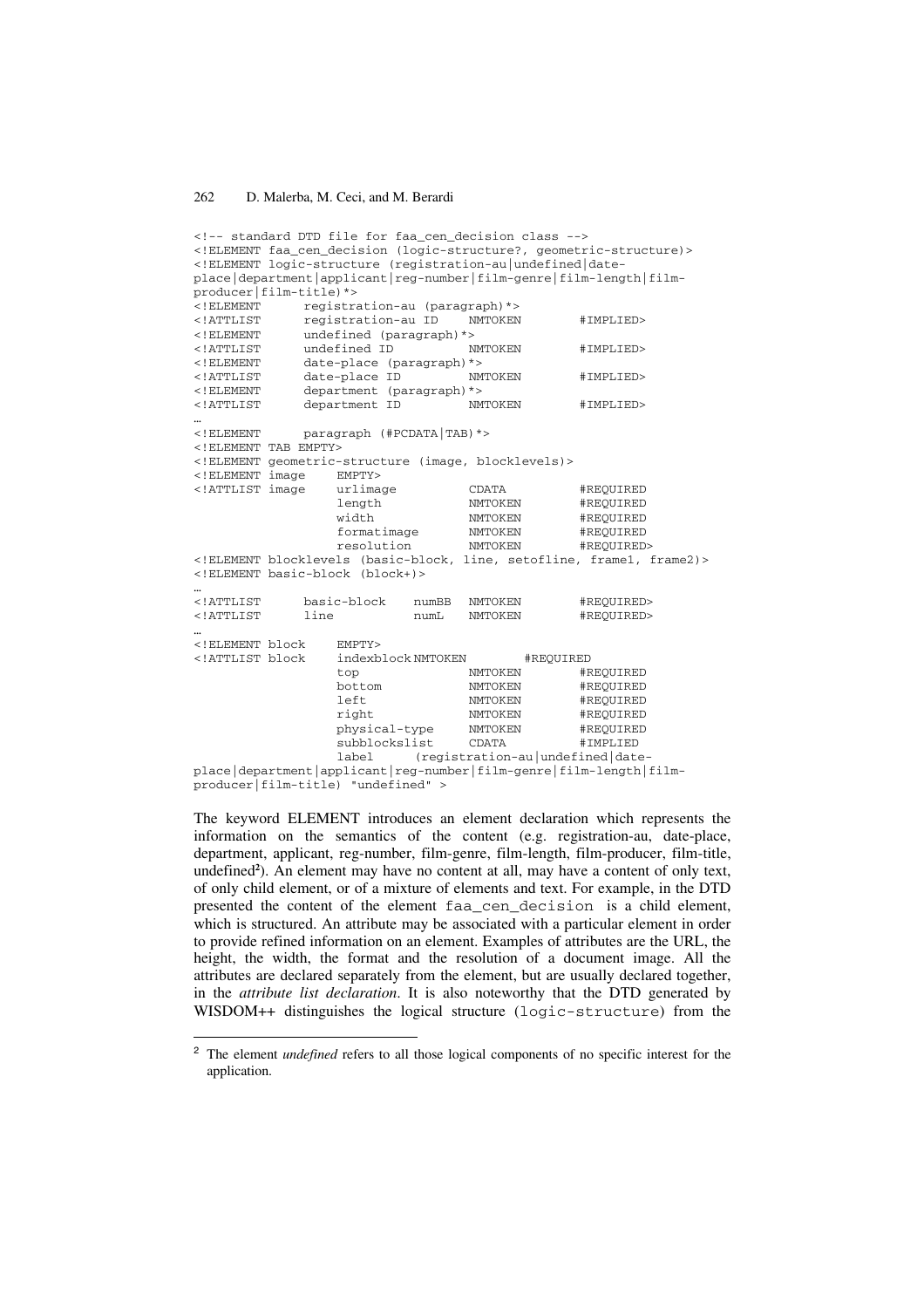<!-- standard DTD file for faa\_cen\_decision class --> <!ELEMENT faa\_cen\_decision (logic-structure?, geometric-structure)> <!ELEMENT logic-structure (registration-au|undefined|dateplace|department|applicant|reg-number|film-genre|film-length|filmproducer|film-title)\*> <!ELEMENT registration-au (paragraph)\*> <!ATTLIST registration-au ID NMTOKEN #IMPLIED> <!ELEMENT undefined (paragraph)\*> <!ATTLIST undefined ID NMTOKEN #IMPLIED> <!ELEMENT date-place (paragraph)\*> <!ATTLIST date-place ID NMTOKEN #IMPLIED> <!ELEMENT department (paragraph)\*> <!ATTLIST department ID NMTOKEN #IMPLIED> … <!ELEMENT paragraph (#PCDATA|TAB)\*> <!ELEMENT TAB EMPTY> <!ELEMENT geometric-structure (image, blocklevels)> <!ELEMENT image EMPTY> <!ATTLIST image urlimage CDATA #REQUIRED length NMTOKEN #REQUIRED width NMTOKEN #REQUIRED formatimage NMTOKEN #REQUIRED resolution NMTOKEN #REQUIRED> <!ELEMENT blocklevels (basic-block, line, setofline, frame1, frame2)> <!ELEMENT basic-block (block+)> … <!ATTLIST basic-block numBB NMTOKEN #REQUIRED> line  $numL$  NMTOKEN #REQUIRED> … <!ELEMENT block EMPTY> <!ATTLIST block indexblock NMTOKEN #REQUIRED top NMTOKEN #REQUIRED bottom NMTOKEN #REQUIRED left NMTOKEN #REQUIRED right NMTOKEN #REQUIRED physical-type NMTOKEN #REQUIRED subblockslist CDATA #IMPLIED label (registration-au|undefined|dateplace|department|applicant|reg-number|film-genre|film-length|filmproducer|film-title) "undefined" >

The keyword ELEMENT introduces an element declaration which represents the information on the semantics of the content (e.g. registration-au, date-place, department, applicant, reg-number, film-genre, film-length, film-producer, film-title, undefined**<sup>2</sup>**). An element may have no content at all, may have a content of only text, of only child element, or of a mixture of elements and text. For example, in the DTD presented the content of the element faa\_cen\_decision is a child element, which is structured. An attribute may be associated with a particular element in order to provide refined information on an element. Examples of attributes are the URL, the height, the width, the format and the resolution of a document image. All the attributes are declared separately from the element, but are usually declared together, in the *attribute list declaration*. It is also noteworthy that the DTD generated by WISDOM $++$  distinguishes the logical structure (logic-structure) from the

j

<sup>2</sup> The element *undefined* refers to all those logical components of no specific interest for the application.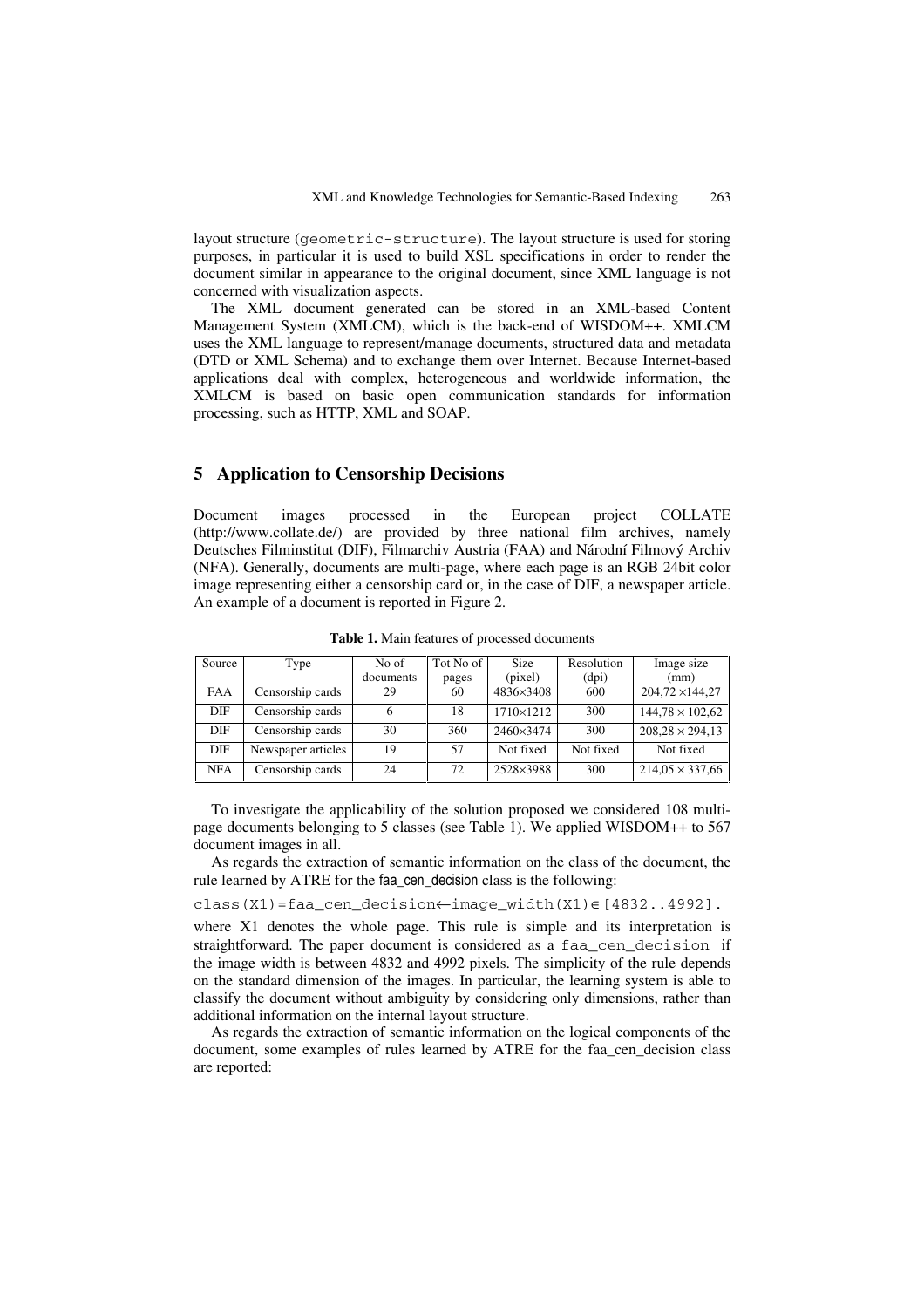layout structure (geometric-structure). The layout structure is used for storing purposes, in particular it is used to build XSL specifications in order to render the document similar in appearance to the original document, since XML language is not concerned with visualization aspects.

The XML document generated can be stored in an XML-based Content Management System (XMLCM), which is the back-end of WISDOM++. XMLCM uses the XML language to represent/manage documents, structured data and metadata (DTD or XML Schema) and to exchange them over Internet. Because Internet-based applications deal with complex, heterogeneous and worldwide information, the XMLCM is based on basic open communication standards for information processing, such as HTTP, XML and SOAP.

#### **5 Application to Censorship Decisions**

Document images processed in the European project COLLATE (http://www.collate.de/) are provided by three national film archives, namely Deutsches Filminstitut (DIF), Filmarchiv Austria (FAA) and Národní Filmový Archiv (NFA). Generally, documents are multi-page, where each page is an RGB 24bit color image representing either a censorship card or, in the case of DIF, a newspaper article. An example of a document is reported in Figure 2.

| Source     | Type               | No of     | Tot No of | <b>Size</b> | Resolution | Image size             |
|------------|--------------------|-----------|-----------|-------------|------------|------------------------|
|            |                    | documents | pages     | (pixel)     | (dpi)      | (mm)                   |
| <b>FAA</b> | Censorship cards   | 29        | 60        | 4836×3408   | 600        | 204,72×144,27          |
| DIF        | Censorship cards   |           | 18        | 1710×1212   | 300        | $144,78 \times 102,62$ |
| <b>DIF</b> | Censorship cards   | 30        | 360       | 2460×3474   | 300        | $208.28 \times 294.13$ |
| <b>DIF</b> | Newspaper articles | 19        | 57        | Not fixed   | Not fixed  | Not fixed              |
| <b>NFA</b> | Censorship cards   | 24        | 72        | 2528×3988   | 300        | $214,05 \times 337,66$ |

**Table 1.** Main features of processed documents

To investigate the applicability of the solution proposed we considered 108 multipage documents belonging to 5 classes (see Table 1). We applied WISDOM++ to 567 document images in all.

As regards the extraction of semantic information on the class of the document, the rule learned by ATRE for the faa\_cen\_decision class is the following:

class(X1)=faa\_cen\_decision←image\_width(X1)∈[4832..4992].

where X1 denotes the whole page. This rule is simple and its interpretation is straightforward. The paper document is considered as a faa\_cen\_decision if the image width is between 4832 and 4992 pixels. The simplicity of the rule depends on the standard dimension of the images. In particular, the learning system is able to classify the document without ambiguity by considering only dimensions, rather than additional information on the internal layout structure.

As regards the extraction of semantic information on the logical components of the document, some examples of rules learned by ATRE for the faa\_cen\_decision class are reported: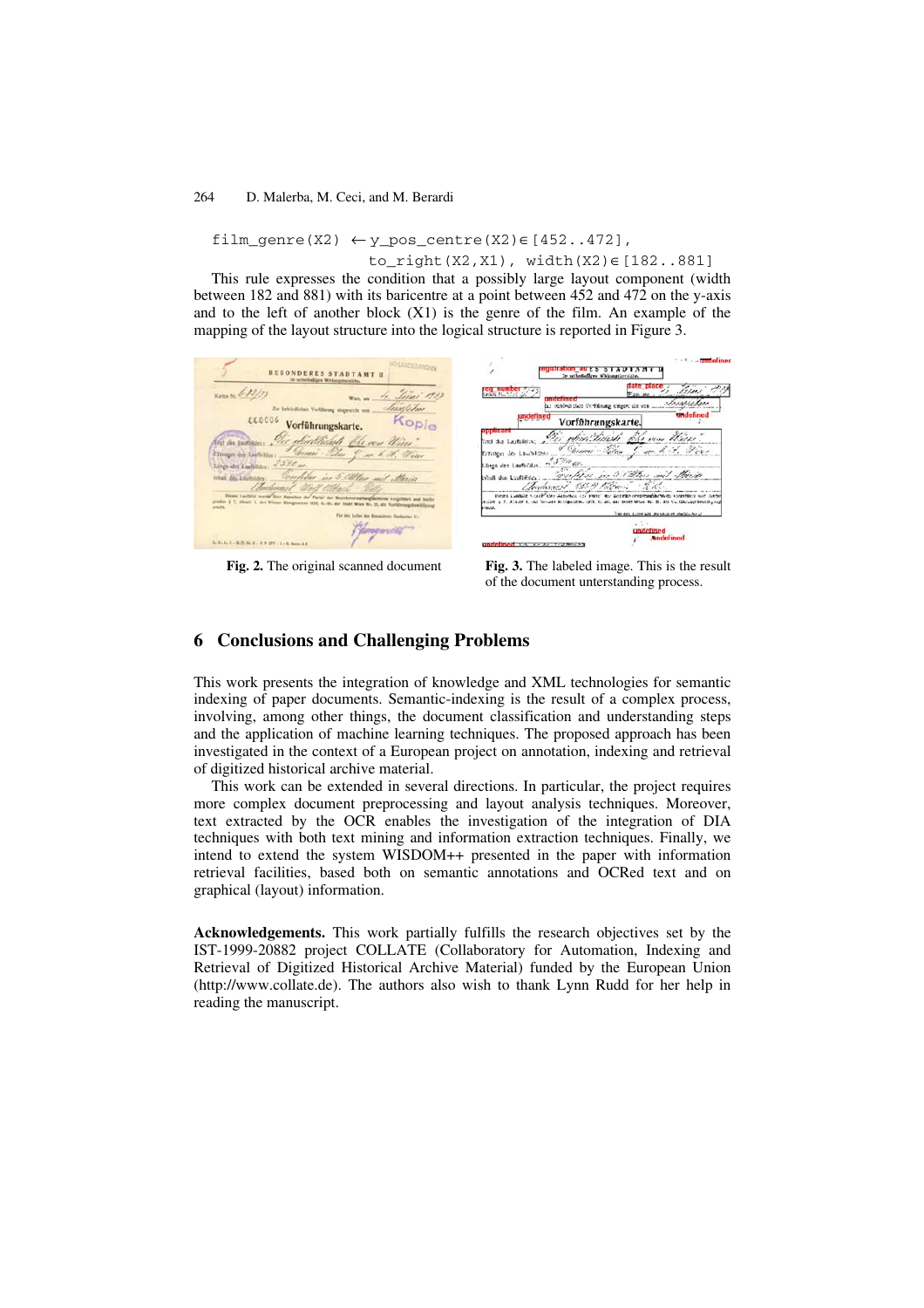$$
film\_gence(X2) \leftarrow y\_pos\_centre(X2) \in [452..472],
$$

$$
to\_right(X2,X1), width(X2) \in [182..881]
$$

This rule expresses the condition that a possibly large layout component (width between 182 and 881) with its baricentre at a point between 452 and 472 on the y-axis and to the left of another block (X1) is the genre of the film. An example of the mapping of the layout structure into the logical structure is reported in Figure 3.



**Fig. 2.** The original scanned document **Fig. 3.** The labeled image. This is the result of the document unterstanding process.

### **6 Conclusions and Challenging Problems**

This work presents the integration of knowledge and XML technologies for semantic indexing of paper documents. Semantic-indexing is the result of a complex process, involving, among other things, the document classification and understanding steps and the application of machine learning techniques. The proposed approach has been investigated in the context of a European project on annotation, indexing and retrieval of digitized historical archive material.

This work can be extended in several directions. In particular, the project requires more complex document preprocessing and layout analysis techniques. Moreover, text extracted by the OCR enables the investigation of the integration of DIA techniques with both text mining and information extraction techniques. Finally, we intend to extend the system WISDOM++ presented in the paper with information retrieval facilities, based both on semantic annotations and OCRed text and on graphical (layout) information.

**Acknowledgements.** This work partially fulfills the research objectives set by the IST-1999-20882 project COLLATE (Collaboratory for Automation, Indexing and Retrieval of Digitized Historical Archive Material) funded by the European Union (http://www.collate.de). The authors also wish to thank Lynn Rudd for her help in reading the manuscript.